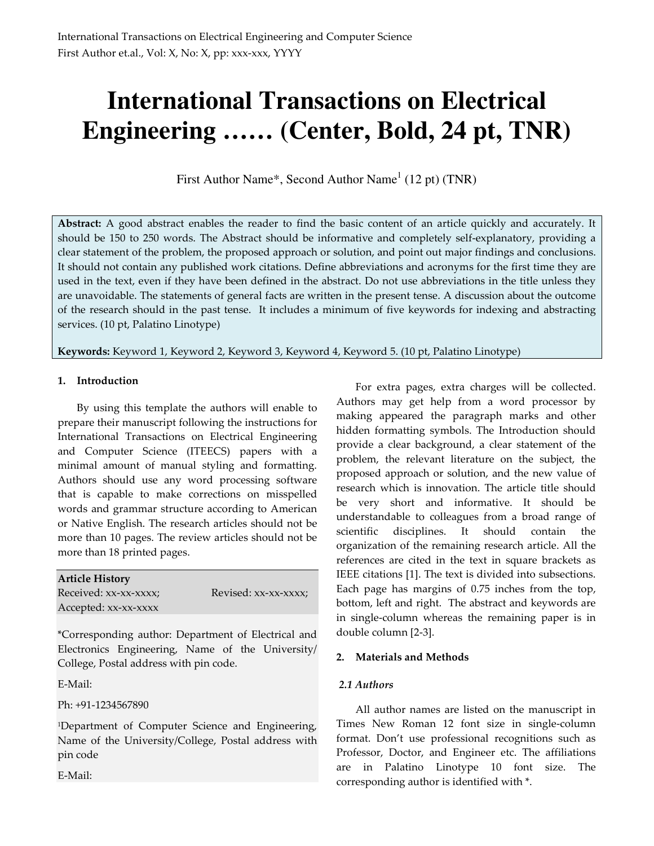# **International Transactions on Electrical Engineering …… (Center, Bold, 24 pt, TNR)**

First Author Name\*, Second Author Name $<sup>1</sup>$  (12 pt) (TNR)</sup>

**Abstract:** A good abstract enables the reader to find the basic content of an article quickly and accurately. It should be 150 to 250 words. The Abstract should be informative and completely self-explanatory, providing a clear statement of the problem, the proposed approach or solution, and point out major findings and conclusions. It should not contain any published work citations. Define abbreviations and acronyms for the first time they are used in the text, even if they have been defined in the abstract. Do not use abbreviations in the title unless they are unavoidable. The statements of general facts are written in the present tense. A discussion about the outcome of the research should in the past tense. It includes a minimum of five keywords for indexing and abstracting services. (10 pt, Palatino Linotype)

**Keywords:** Keyword 1, Keyword 2, Keyword 3, Keyword 4, Keyword 5. (10 pt, Palatino Linotype)

# **1. Introduction**

By using this template the authors will enable to prepare their manuscript following the instructions for International Transactions on Electrical Engineering and Computer Science (ITEECS) papers with a minimal amount of manual styling and formatting. Authors should use any word processing software that is capable to make corrections on misspelled words and grammar structure according to American or Native English. The research articles should not be more than 10 pages. The review articles should not be more than 18 printed pages.

| <b>Article History</b> |                      |
|------------------------|----------------------|
| Received: xx-xx-xxxx;  | Revised: xx-xx-xxxx; |
| Accepted: xx-xx-xxxx   |                      |

\*Corresponding author: Department of Electrical and Electronics Engineering, Name of the University/ College, Postal address with pin code.

E-Mail:

Ph: +91-1234567890

<sup>1</sup>Department of Computer Science and Engineering, Name of the University/College, Postal address with pin code

E-Mail:

For extra pages, extra charges will be collected. Authors may get help from a word processor by making appeared the paragraph marks and other hidden formatting symbols. The Introduction should provide a clear background, a clear statement of the problem, the relevant literature on the subject, the proposed approach or solution, and the new value of research which is innovation. The article title should be very short and informative. It should be understandable to colleagues from a broad range of scientific disciplines. It should contain the organization of the remaining research article. All the references are cited in the text in square brackets as IEEE citations [1]. The text is divided into subsections. Each page has margins of 0.75 inches from the top, bottom, left and right. The abstract and keywords are in single-column whereas the remaining paper is in double column [2-3].

# **2. Materials and Methods**

# *2.1 Authors*

All author names are listed on the manuscript in Times New Roman 12 font size in single-column format. Don't use professional recognitions such as Professor, Doctor, and Engineer etc. The affiliations are in Palatino Linotype 10 font size. The corresponding author is identified with \*.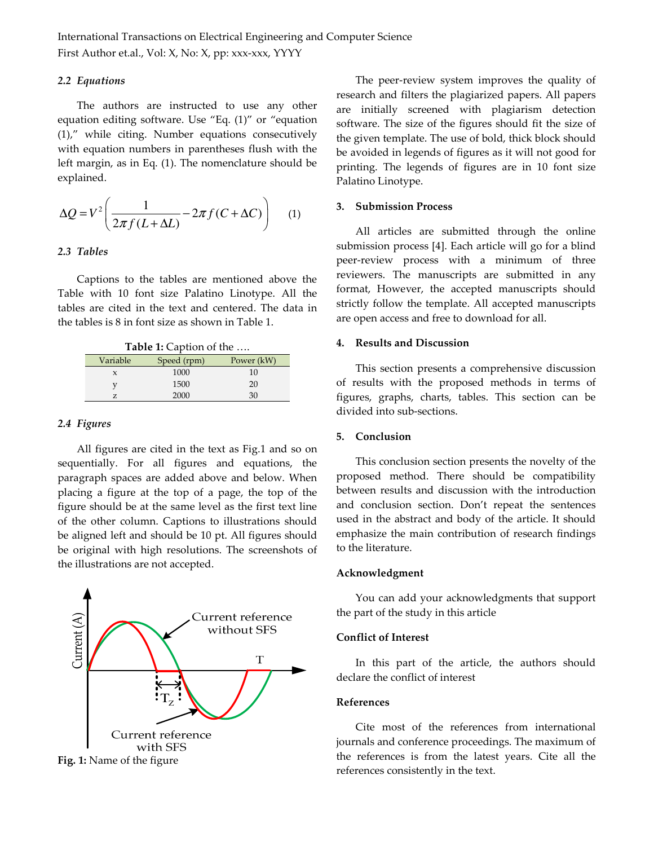International Transactions on Electrical Engineering and Computer Science First Author et.al., Vol: X, No: X, pp: xxx-xxx, YYYY

#### *2.2 Equations*

The authors are instructed to use any other equation editing software. Use "Eq. (1)" or "equation (1)," while citing. Number equations consecutively with equation numbers in parentheses flush with the left margin, as in Eq. (1). The nomenclature should be explained.

$$
\Delta Q = V^2 \left( \frac{1}{2\pi f (L + \Delta L)} - 2\pi f (C + \Delta C) \right) \tag{1}
$$

## *2.3 Tables*

Captions to the tables are mentioned above the Table with 10 font size Palatino Linotype. All the tables are cited in the text and centered. The data in the tables is 8 in font size as shown in Table 1.

| <b>Table 1:</b> Caption of the |             |            |
|--------------------------------|-------------|------------|
| Variable                       | Speed (rpm) | Power (kW) |
| $\mathbf{x}$                   | 1000        | 10         |
|                                | 1500        | 20         |
|                                | 2000        | 30         |

#### *2.4 Figures*

All figures are cited in the text as Fig.1 and so on sequentially. For all figures and equations, the paragraph spaces are added above and below. When placing a figure at the top of a page, the top of the figure should be at the same level as the first text line of the other column. Captions to illustrations should be aligned left and should be 10 pt. All figures should be original with high resolutions. The screenshots of the illustrations are not accepted.



**Fig. 1:** Name of the figure

The peer-review system improves the quality of research and filters the plagiarized papers. All papers are initially screened with plagiarism detection software. The size of the figures should fit the size of the given template. The use of bold, thick block should be avoided in legends of figures as it will not good for printing. The legends of figures are in 10 font size Palatino Linotype.

## **3. Submission Process**

All articles are submitted through the online submission process [4]. Each article will go for a blind peer-review process with a minimum of three reviewers. The manuscripts are submitted in any format, However, the accepted manuscripts should strictly follow the template. All accepted manuscripts are open access and free to download for all.

## **4. Results and Discussion**

This section presents a comprehensive discussion of results with the proposed methods in terms of figures, graphs, charts, tables. This section can be divided into sub-sections.

#### **5. Conclusion**

This conclusion section presents the novelty of the proposed method. There should be compatibility between results and discussion with the introduction and conclusion section. Don't repeat the sentences used in the abstract and body of the article. It should emphasize the main contribution of research findings to the literature.

#### **Acknowledgment**

You can add your acknowledgments that support the part of the study in this article

## **Conflict of Interest**

In this part of the article, the authors should declare the conflict of interest

#### **References**

Cite most of the references from international journals and conference proceedings. The maximum of the references is from the latest years. Cite all the references consistently in the text.